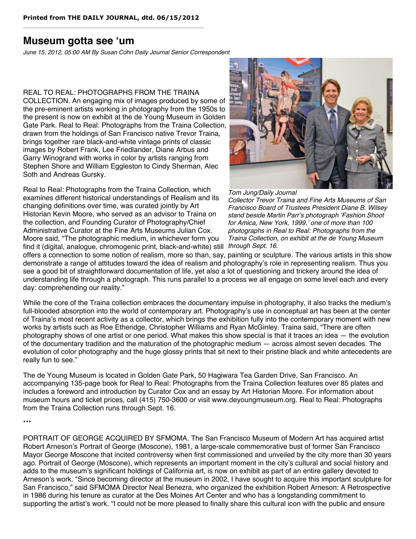## **Museum gotta see ʻum**

*June 15, 2012, 05:00 AM By Susan Cohn Daily Journal Senior Correspondent*

## REAL TO REAL: PHOTOGRAPHS FROM THE TRAINA

COLLECTION. An engaging mix of images produced by some of the pre-eminent artists working in photography from the 1950s to the present is now on exhibit at the de Young Museum in Golden Gate Park. Real to Real: Photographs from the Traina Collection, drawn from the holdings of San Francisco native Trevor Traina, brings together rare black-and-white vintage prints of classic images by Robert Frank, Lee Friedlander, Diane Arbus and Garry Winogrand with works in color by artists ranging from Stephen Shore and William Eggleston to Cindy Sherman, Alec Soth and Andreas Gursky.

find it (digital, analogue, chromogenic print, black-and-white) still through Sept. 16. Real to Real: Photographs from the Traina Collection, which examines different historical understandings of Realism and its changing definitions over time, was curated jointly by Art Historian Kevin Moore, who served as an advisor to Traina on the collection, and Founding Curator of Photography/Chief Administrative Curator at the Fine Arts Museums Julian Cox. Moore said, "The photographic medium, in whichever form you



## *Tom Jung/Daily Journal*

*Collector Trevor Traina and Fine Arts Museums of San Francisco Board of Trustees President Diane B. Wilsey stand beside Martin Parr*'*s photograph* ʻ*Fashion Shoot for Amica, New York, 1999,*' *one of more than 100 photographs in Real to Real: Photographs from the Traina Collection, on exhibit at the de Young Museum*

offers a connection to some notion of realism, more so than, say, painting or sculpture. The various artists in this show demonstrate a range of attitudes toward the idea of realism and photography's role in representing realism. Thus you see a good bit of straightforward documentation of life, yet also a lot of questioning and trickery around the idea of understanding life through a photograph. This runs parallel to a process we all engage on some level each and every day: comprehending our reality."

While the core of the Traina collection embraces the documentary impulse in photography, it also tracks the medium's full-blooded absorption into the world of contemporary art. Photography's use in conceptual art has been at the center of Traina's most recent activity as a collector, which brings the exhibition fully into the contemporary moment with new works by artists such as Roe Etheridge, Christopher Williams and Ryan McGinley. Traina said, "There are often photography shows of one artist or one period. What makes this show special is that it traces an idea — the evolution of the documentary tradition and the maturation of the photographic medium — across almost seven decades. The evolution of color photography and the huge glossy prints that sit next to their pristine black and white antecedents are really fun to see."

The de Young Museum is located in Golden Gate Park, 50 Hagiwara Tea Garden Drive, San Francisco. An accompanying 135-page book for Real to Real: Photographs from the Traina Collection features over 85 plates and includes a foreword and introduction by Curator Cox and an essay by Art Historian Moore. For information about museum hours and ticket prices, call (415) 750-3600 or visit www.deyoungmuseum.org. Real to Real: Photographs from the Traina Collection runs through Sept. 16.

\*\*\*

PORTRAIT OF GEORGE ACQUIRED BY SFMOMA. The San Francisco Museum of Modern Art has acquired artist Robert Arneson's Portrait of George (Moscone), 1981, a large-scale commemorative bust of former San Francisco Mayor George Moscone that incited controversy when first commissioned and unveiled by the city more than 30 years ago. Portrait of George (Moscone), which represents an important moment in the city's cultural and social history and adds to the museum's significant holdings of California art, is now on exhibit as part of an entire gallery devoted to Arneson's work. "Since becoming director at the museum in 2002, I have sought to acquire this important sculpture for San Francisco," said SFMOMA Director Neal Benezra, who organized the exhibition Robert Arneson: A Retrospective in 1986 during his tenure as curator at the Des Moines Art Center and who has a longstanding commitment to supporting the artist's work. "I could not be more pleased to finally share this cultural icon with the public and ensure